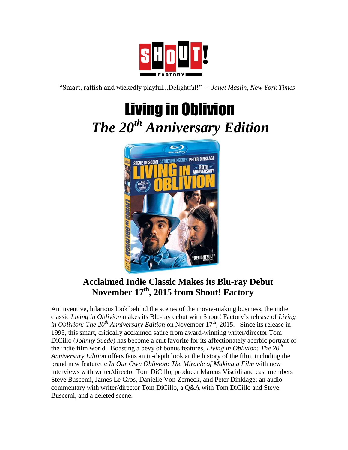

"Smart, raffish and wickedly playful...Delightful!" -- *Janet Maslin, New York Times*

## Living in Oblivion  *The 20th Anniversary Edition*



## **Acclaimed Indie Classic Makes its Blu-ray Debut November 17th, 2015 from Shout! Factory**

An inventive, hilarious look behind the scenes of the movie-making business, the indie classic *Living in Oblivion* makes its Blu-ray debut with Shout! Factory's release of *Living in Oblivion: The 20<sup>th</sup> Anniversary Edition* on November 17<sup>th</sup>, 2015. Since its release in 1995, this smart, critically acclaimed satire from award-winning writer/director Tom DiCillo (*Johnny Suede*) has become a cult favorite for its affectionately acerbic portrait of the indie film world. Boasting a bevy of bonus features, *Living in Oblivion: The 20th Anniversary Edition* offers fans an in-depth look at the history of the film, including the brand new featurette *In Our Own Oblivion: The Miracle of Making a Film* with new interviews with writer/director Tom DiCillo, producer Marcus Viscidi and cast members Steve Buscemi, James Le Gros, Danielle Von Zerneck, and Peter Dinklage; an audio commentary with writer/director Tom DiCillo, a Q&A with Tom DiCillo and Steve Buscemi, and a deleted scene.